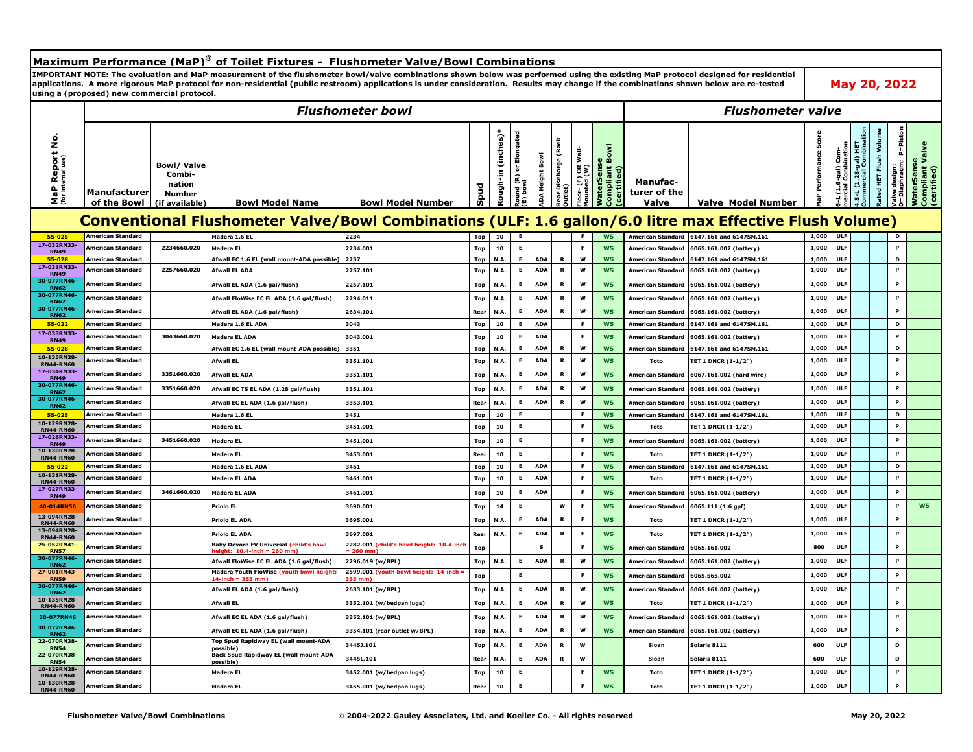## **Maximum Performance (MaP)® of Toilet Fixtures - Flushometer Valve/Bowl Combinations IMPORTANT NOTE: The evaluation and MaP measurement of the flushometer bowl/valve combinations shown below was performed using the existing MaP protocol designed for residential May 20, 2022 applications. A more rigorous MaP protocol for non-residential (public restroom) applications is under consideration. Results may change if the combinations shown below are re-tested using a (proposed) new commercial protocol.**  *Flushometer bowl Flushometer valve*P=Piston **Commercial Combination D=Diaphragm; P=Piston Rough-in (inches)\* Round (R) or Elongated Rated HET Flush Volume MaP Performance Score** Report No.<br>ternal use) Elongated **MaP Report No.** ough-in (inches) **Rear Discharge (Back**  Performance Sco laterSense<br>ompliant Valve<br>:ertified) scharge (Bacl 6-gal) Com-<br>I Combination **4.8-L (1.28-gal) HET Compliant Valve JaterSense**<br>ompliant Bowl<br>certified) **Compliant Bowl mercial Combination** ed HET Flush Volu (1.28-gal) HET<br>ercial Combin oor- (F) OR Wall-<br>ounted (W) **Floor- (F) OR Wall-6-L (1.6-gal) Com-**Height Bowl **ADA Height Bowl (for internal use) WaterSense WaterSense Bowl/ Valve (E) bowl Valve design: Mounted (W) (certified) (certified) Combi-Manufac-Spud** MaP I **nation Outlet) Manufacturer turer of the Number**   $\overline{\mathbf{s}}$ 음 **of the Bowl (if available) Bowl Model Name Bowl Model Number Valve Valve Model Number Conventional Flushometer Valve/Bowl Combinations (ULF: 1.6 gallon/6.0 litre max Effective Flush Volume) 55-025 American Standard Madera 1.6 EL 2234 Top 10 E F WS American Standard 6147.161 and 6147SM.161 1,000 ULF D 17-032RN33-** <sup>Jakan Jamerican Standard | 2234660.020 |Madera EL | 2234.001 | 10 | E | | F | <mark>WS |</mark> American Standard |6065.161.002 (battery) | 1,000 | ULF | | P<br>RN49</sup> **55-028 American Standard Afwall EC 1.6 EL (wall mount-ADA possible) 2257 Top N.A. E ADA R W WS American Standard 6147.161 and 6147SM.161 1,000 ULF D 17-031RN33- RN49 American Standard 2257660.020 Afwall EL ADA 2257.101 Top N.A. <sup>E</sup> ADA <sup>R</sup> <sup>W</sup> WS American Standard 6065.161.002 (battery) 1,000 ULF <sup>P</sup> 30-077RN46- RN62 American Standard Afwall EL ADA (1.6 gal/flush) 2257.101 Top N.A. <sup>E</sup> ADA <sup>R</sup> <sup>W</sup> WS American Standard 6065.161.002 (battery) 1,000 ULF <sup>P</sup>** 30-077R American Standard | Afwall FloWise EC EL ADA (1.6 gal/flush) |2294.011 | Top | N.A. | E | ADA | R | W | WS | American Standard |6065.161.002 (battery) | 1,000 | ULF | | P **30-077RN46-** 2634.101 | American Standard | Afwall ELADA (1.6 gal/flush) | 2634.101 | 2634.101 | Rear | N.A. | E | ADA | R | W | WS | American Standard |6065.161.002 (battery) | 1,000 | ULF | | P **55-022 American Standard Madera 1.6 EL ADA 3043 Top 10 E ADA F WS American Standard 6147.161 and 6147SM.161 1,000 ULF D 17-033RN33-** ->>>>>>> American Standard | 3043660.020 |Madera ELADA | 2043.001 | Top | 10 | E | ADA | F | <mark>WS |</mark> American Standard |6065.161.002 (battery) | 1,000 | ULF | | P S5-028 American Standard Afwall EC 1.6 EL (wall mount-ADA possible) 3351 Top N.A. E ADA R W WS American Standard 6147.161 and 61475M.161 1,000 ULF D **10-135RN28- RN44-RN60 American Standard Afwall EL 3351.101 Top N.A. <sup>E</sup> ADA <sup>R</sup> <sup>W</sup> WS Toto TET 1 DNCR (1-1/2") 1,000 ULF <sup>P</sup> 17-034RN33-** 2000 | American Standard | 3351660.020 |Afwall ELADA | 3351.101 | 10p | N.A. | E | ADA | R | W | <mark>WS |</mark> American Standard |6067.161.002 (hard wire) | 1,000 | ULF | | P<br>RN49 **30-077RN46-** American Standard | 3351660.020 |Afwall ECTS EL ADA (1.28 gal/flush) | 3351.101 | Top | N.A. | E | ADA | R | W | WS | American Standard |6065.161.002 (battery) | 1,000 | ULF | | P **30-077RN46- RN62 American Standard Afwall EC EL ADA (1.6 gal/flush) 3353.101 Rear N.A. <sup>E</sup> ADA <sup>R</sup> <sup>W</sup> WS American Standard 6065.161.002 (battery) 1,000 ULF <sup>P</sup> 55-025 American Standard Madera 1.6 EL 3451 Top 10 E F WS American Standard 6147.161 and 6147SM.161 1,000 ULF D 10-129RN28- RN44-RN60 American Standard Madera EL 3451.001 Top <sup>10</sup> <sup>E</sup> <sup>F</sup> WS Toto TET 1 DNCR (1-1/2") 1,000 ULF <sup>P</sup> 17-026RN33-** <sup>2</sup> American Standard | 3451660.020 |Madera EL | 19451.001 | 10 | 10 | 10 | E | | | F <mark>| WS |</mark> American Standard |6065.161.002 (battery) | 1,000 | ULF | | P | P **10-130RN28- RN44-RN60 American Standard Madera EL 3453.001 Rear <sup>10</sup> <sup>E</sup> <sup>F</sup> WS Toto TET 1 DNCR (1-1/2") 1,000 ULF <sup>P</sup> 55-022 American Standard Madera 1.6 EL ADA 3461 Top 10 E ADA F WS American Standard 6147.161 and 6147SM.161 1,000 ULF D 10-131RN28- RN44-RN60 American Standard Madera EL ADA 3461.001 Top <sup>10</sup> <sup>E</sup> ADA <sup>F</sup> WS Toto TET 1 DNCR (1-1/2") 1,000 ULF <sup>P</sup> 17-027RN33-** /2009-06-2009 Mmerican Standard | 3461660.020 Madera ELADA | 2461.001 | 10 | 10 | 10 | E | ADA | F | WS | American Standard |6065.161.002 (battery) | 1,000 | ULF | | P<br>RN49 **40-014RN56 American Standard Priolo EL 3690.001 Top 14 E W F WS American Standard 6065.111 (1.6 gpf) 1,000 ULF P WS 13-094RN28- RN44-RN60 American Standard Priolo EL ADA 3695.001 Top N.A. <sup>E</sup> ADA <sup>R</sup> <sup>F</sup> WS Toto TET 1 DNCR (1-1/2") 1,000 ULF <sup>P</sup> 13-094RN28- RN44-RN60 American Standard Priolo EL ADA 3697.001 Rear N.A. <sup>E</sup> ADA <sup>R</sup> <sup>F</sup> WS Toto TET 1 DNCR (1-1/2") 1,000 ULF <sup>P</sup> 25-052RN41- RN57 American Standard Baby Devoro FV Universal (child's bowl 2282.001 (child's bowl height: 10.4-in = 260 mm) Top <sup>S</sup> <sup>F</sup> WS American Standard 6065.161.002 <sup>800</sup> ULF <sup>P</sup> height: 10.4-inch = 260 mm) 30-077RN46-** American Standard | Afwall FloWise EC EL ADA (1.6 gal/flush) |2296.019 (w/BPL) | Top | N.A. | E | ADA | R | W | WS | American Standard |6065.161.002 (battery) | 1,000 | ULF | | P **27-001RN43- RUBBER AMERICAN AMERICAN CONTRIBUTION CONTRIGHTS AMERICAN PRIMARY PRIMARY AMERICAN AMERICAN PRIMARY PRIMARY AMERICAN<br>The Support of the STATE of the STATE of the STATE of the STATE of the STATE of the STATE of the STATE o 2599.001 (youth bowl height: 14-inch = 355 mm) Top <sup>E</sup> <sup>F</sup> WS American Standard 6065.565.002 1,000 ULF <sup>P</sup> 14-inch = 355 mm) 30-077RN46-** American Standard | Afwall ELADA (1.6 gal/flush) | 2633.101 (w/BPL) | Top | N.A. | E | ADA | R | W <mark>| WS |</mark> American Standard |6065.161.002 (battery) | 1,000 | ULF | | P **10-135RN28-** Varyon (American Standard | Afwall EL | 3352.101 (w/bedpan lugs) | Top | N.A. | E | ADA | R | W <mark>| WS</mark> | Toto | TET 1 DNCR (1-1/2") | 1,000 | ULF | | P<br>RN44-RN60 |American Standard | Afwall EL 30-077RN46 American Standard | Afwall ECELADA (1.6 gal/flush) 3352.101 (w/BPL) | Top N.A. E ADA R W WS American Standard 6065.161.002 (battery) | 1,000 ULF P P **30-077RN46-** /////www.com/standard/www.litereducerials.org/flush) 3354.101 (rear outlet w/BPL) | Top | N.A. | E | ADA | R | W | WS | American Standard |6065.161.002 (battery) | 1,000 | ULF | | | P<br>RN62 **22-070RN38- RN54 American Standard Top Spud Rapidway EL (wall mount-ADA possible) 3445J.101 Top N.A. <sup>E</sup> ADA <sup>R</sup> <sup>W</sup> Sloan Solaris 8111 <sup>600</sup> ULF <sup>D</sup> 22-070RN38- RN54 American Standard Back Spud Rapidway EL (wall mount-ADA possible) 3445L.101 Rear N.A. <sup>E</sup> ADA <sup>R</sup> <sup>W</sup> Sloan Solaris 8111 <sup>600</sup> ULF <sup>D</sup> 10-129RN28- RN44-RN60 American Standard Madera EL 3452.001 (w/bedpan lugs) Top <sup>10</sup> <sup>E</sup> <sup>F</sup> WS Toto TET 1 DNCR (1-1/2") 1,000 ULF <sup>P</sup> 10-130RN28- RN44-RN60 American Standard Madera EL 3455.001 (w/bedpan lugs) Rear <sup>10</sup> <sup>E</sup> <sup>F</sup> WS Toto TET 1 DNCR (1-1/2") 1,000 ULF <sup>P</sup>**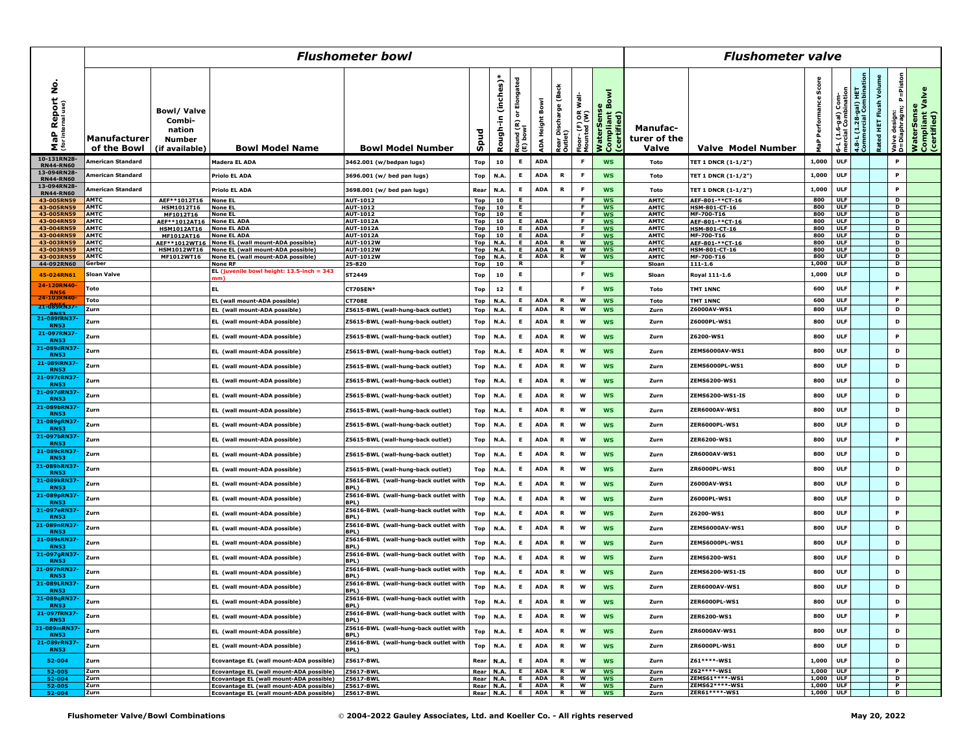|                                                      | <b>Flushometer bowl</b>     |                                                                          |                                                                                    |                                                      |                   |                     |                                         |                          |                                 |                                    |                                             | <b>Flushometer valve</b>                 |                                  |                    |                                    |                                                |                          |                                               |                                              |
|------------------------------------------------------|-----------------------------|--------------------------------------------------------------------------|------------------------------------------------------------------------------------|------------------------------------------------------|-------------------|---------------------|-----------------------------------------|--------------------------|---------------------------------|------------------------------------|---------------------------------------------|------------------------------------------|----------------------------------|--------------------|------------------------------------|------------------------------------------------|--------------------------|-----------------------------------------------|----------------------------------------------|
| <b>Report No.</b><br>ternal use)<br>MaP<br>(for inte | Manufacturer<br>of the Bowl | <b>Bowl/Valve</b><br>Combi-<br>nation<br><b>Number</b><br>(if available) | <b>Bowl Model Name</b>                                                             | <b>Bowl Model Number</b>                             | Spud              | Rough-in (inches)*  | or Elongated<br>Round (R) o<br>[E) bowl | ADA Height Bowl          | Rear Discharge (Back<br>Outlet) | Floor- (F) OR Wall-<br>Mounted (W) | WaterSense<br>Compliant Bowl<br>(certified) | <b>Manufac-</b><br>turer of the<br>Valve | Valve Model Number               | န္တ<br>Perfor<br>흡 | (1.6-gal) Com-<br>cial Combination | 1.8-L (1.28-gal) HET<br>Commercial Combination | Volum<br>Rated HET Flush | P=Pistor<br>Valve design:<br>D=Diaphragm;   l | WaterSense<br>Compliant Valve<br>(certified) |
| 10-131RN2                                            | American Standard           |                                                                          | <b>Madera EL ADA</b>                                                               | 3462.001 (w/bedpan lugs)                             | Top               | 10                  | E.                                      | <b>ADA</b>               |                                 | F                                  | <b>WS</b>                                   | Toto                                     | TET 1 DNCR (1-1/2")              | 1,000              | <b>ULF</b>                         |                                                |                          | P                                             |                                              |
| <b>RN44-RN60</b><br>13-094RN28-<br><b>RN44-RN60</b>  | American Standard           |                                                                          | <b>Priolo EL ADA</b>                                                               | 3696.001 (w/ bed pan lugs)                           | Top               | N.A                 | Е                                       | <b>ADA</b>               | R                               | F                                  | <b>WS</b>                                   | Toto                                     | <b>TET 1 DNCR (1-1/2")</b>       | 1,000              | <b>ULF</b>                         |                                                |                          | P                                             |                                              |
| 13-094RN28-<br><b>RN44-RN60</b>                      | American Standard           |                                                                          | <b>Priolo EL ADA</b>                                                               | 3698.001 (w/ bed pan lugs)                           | Rear              | N.A                 | Е                                       | <b>ADA</b>               | R                               | F                                  | <b>WS</b>                                   | Toto                                     | TET 1 DNCR (1-1/2")              | 1,000              | <b>ULF</b>                         |                                                |                          | P                                             |                                              |
| 43-005RN59                                           | AMTC                        | AEF**1012T16                                                             | <b>None E</b>                                                                      | AUT-1012                                             | <b>Top</b>        | 10                  | Е.                                      |                          |                                 | F                                  | <b>WS</b>                                   | <b>AMTC</b>                              | AEF-801-**CT-16                  | 800                | <b>ULF</b>                         |                                                |                          | D                                             |                                              |
| 43-005RN59<br>43-005RN59                             | <b>AMTC</b><br><b>AMTC</b>  | <b>HSM1012T16</b><br>MF1012T16                                           | <b>None EL</b><br><b>None EL</b>                                                   | AUT-1012<br>AUT-1012                                 | Top<br><b>Top</b> | 10<br>10            | Е.<br>E.                                |                          |                                 | <b>F</b><br>F                      | <b>WS</b><br><b>WS</b>                      | <b>AMTC</b><br><b>AMTC</b>               | HSM-801-CT-16<br>MF-700-T16      | 800<br>800         | <b>ULF</b><br><b>ULF</b>           |                                                |                          | D<br>D                                        |                                              |
| 43-004RN59                                           | <b>AMTC</b>                 | AEF**1012AT16                                                            | None EL ADA                                                                        | <b>AUT-1012A</b>                                     | <b>Top</b>        | 10                  | Е.                                      | <b>ADA</b>               |                                 | <b>F</b>                           | <b>WS</b>                                   | <b>AMTC</b>                              | AEF-801-**CT-16                  | 800                | <b>ULF</b>                         |                                                |                          | $\mathbf{D}$                                  |                                              |
| 43-004RN59                                           | <b>AMTC</b>                 | <b>HSM1012AT16</b>                                                       | <b>None EL ADA</b>                                                                 | AUT-1012A                                            | <b>Top</b>        | 10                  | Е.                                      | <b>ADA</b>               |                                 | F                                  | <b>WS</b>                                   | <b>AMTC</b>                              | HSM-801-CT-16                    | 800                | ULF                                |                                                |                          | D                                             |                                              |
| 43-004RN59                                           | <b>AMTC</b><br><b>AMTC</b>  | MF1012AT16                                                               | <b>None EL ADA</b>                                                                 | <b>AUT-1012A</b>                                     | Top               | 10                  | E<br>E.                                 | <b>ADA</b><br>ADA        | R                               | F.<br>w                            | <b>WS</b><br><b>WS</b>                      | <b>AMTC</b>                              | MF-700-T16                       | 800<br>800         | ULF<br><b>ULF</b>                  |                                                |                          | D<br>D                                        |                                              |
| 43-003RN59<br>43-003RN59                             | <b>AMTC</b>                 | AEF**1012WT16<br><b>HSM1012WT16</b>                                      | None EL (wall mount-ADA possible)<br>None EL (wall mount-ADA possible)             | AUT-1012W<br><b>AUT-1012W</b>                        | Top<br>Top        | N.A.<br>N.A.        | E.                                      | <b>ADA</b>               | R.                              | w                                  | <b>WS</b>                                   | <b>AMTC</b><br><b>AMTC</b>               | AEF-801-**CT-16<br>HSM-801-CT-16 | 800                | <b>ULF</b>                         |                                                |                          | D                                             |                                              |
| 43-003RN59                                           | <b>AMTC</b>                 | MF1012WT16                                                               | None EL (wall mount-ADA possible)                                                  | <b>AUT-1012W</b>                                     | <b>Top</b>        | N.A.                | E.                                      | <b>ADA</b>               | $\mathbf R$                     | w                                  | <b>WS</b>                                   | <b>AMTC</b>                              | MF-700-T16                       | 800                | <b>ULF</b>                         |                                                |                          | D                                             |                                              |
| 44-092RN60                                           | Gerber                      |                                                                          | <b>None RF</b>                                                                     | 25-820                                               | Top               | 10                  | R.                                      |                          |                                 | <b>F</b>                           |                                             | Sloan                                    | $111 - 1.6$                      | 1,000              | <b>ULF</b>                         |                                                |                          | D                                             |                                              |
| 45-024RN61<br>24-120RN40                             | Sloan Valve                 |                                                                          | EL (juvenile bowl height: 13.5-inch = 343<br>mm)                                   | ST2449                                               | Top               | 10                  | E                                       |                          |                                 | F                                  | <b>WS</b>                                   | Sloan                                    | Royal 111-1.6                    | 1,000              | <b>ULF</b>                         |                                                |                          | D                                             |                                              |
| <b>RN56</b><br>24-103RN4                             | Toto                        |                                                                          | <b>EL</b>                                                                          | <b>CT705EN*</b>                                      | Top               | 12                  | E                                       |                          |                                 | F                                  | <b>WS</b>                                   | Toto                                     | TMT 1NNC                         | 600                | <b>ULF</b>                         |                                                |                          | P                                             |                                              |
| 21-089RN37-                                          | Toto                        |                                                                          | EL (wall mount-ADA possible)                                                       | <b>CT708E</b>                                        | Top               | N.A                 | E.                                      | <b>ADA</b>               | $\mathbf R$                     | W                                  | <b>WS</b>                                   | Toto                                     | TMT 1NNC                         | 600                | <b>ULF</b>                         |                                                |                          | P<br>D                                        |                                              |
| <b>DNES</b><br>21-089fRN37                           | Zurn                        |                                                                          | EL (wall mount-ADA possible)                                                       | Z5615-BWL (wall-hung-back outlet)                    | Top               | N.A                 | E                                       | <b>ADA</b>               | $\mathbf R$                     | W                                  | <b>WS</b>                                   | Zurn                                     | Z6000AV-WS1                      | 800                | <b>ULF</b>                         |                                                |                          |                                               |                                              |
| <b>RN53</b><br>21-097RN37-                           | Zurn                        |                                                                          | EL (wall mount-ADA possible)                                                       | Z5615-BWL (wall-hung-back outlet)                    | Top               | N.A                 | Е                                       | <b>ADA</b>               | R                               | w                                  | <b>WS</b>                                   | Zurn                                     | Z6000PL-WS1                      | 800                | <b>ULF</b>                         |                                                |                          | D                                             |                                              |
| <b>RN53</b><br>21-089dRN37                           | Zurn                        |                                                                          | EL (wall mount-ADA possible)                                                       | Z5615-BWL (wall-hung-back outlet)                    | Top               | N.A                 | Е                                       | <b>ADA</b>               | R                               | w                                  | <b>WS</b>                                   | Zurn                                     | Z6200-WS1                        | 800                | <b>ULF</b>                         |                                                |                          | P                                             |                                              |
| <b>RN53</b><br>21-089iRN37                           | Zurn                        |                                                                          | EL (wall mount-ADA possible)                                                       | Z5615-BWL (wall-hung-back outlet)                    | Top               | N.A                 | Е                                       | <b>ADA</b>               | R                               | w                                  | <b>WS</b>                                   | Zurn                                     | ZEMS6000AV-WS1                   | 800                | <b>ULF</b>                         |                                                |                          | D                                             |                                              |
| <b>RN53</b><br>21-097cRN37                           | Zurn                        |                                                                          | EL (wall mount-ADA possible)                                                       | Z5615-BWL (wall-hung-back outlet)                    | Top               | N.A                 | Е                                       | <b>ADA</b>               | R                               | w                                  | <b>WS</b>                                   | Zurn                                     | ZEMS6000PL-WS1                   | 800                | ULF                                |                                                |                          | D                                             |                                              |
| <b>RN53</b><br>21-097dRN37                           | Zurn                        |                                                                          | EL (wall mount-ADA possible)                                                       | Z5615-BWL (wall-hung-back outlet)                    | Top               | N.A                 | Е                                       | <b>ADA</b>               | R                               | w                                  | <b>WS</b>                                   | Zurn                                     | <b>ZEMS6200-WS1</b>              | 800                | <b>ULF</b>                         |                                                |                          | D                                             |                                              |
| <b>RN53</b>                                          | Zurn                        |                                                                          | EL (wall mount-ADA possible)                                                       | Z5615-BWL (wall-hung-back outlet)                    | Top               | N.A                 | Е                                       | <b>ADA</b>               | R                               | w                                  | <b>WS</b>                                   | Zurn                                     | <b>ZEMS6200-WS1-IS</b>           | 800                | <b>ULF</b>                         |                                                |                          | D                                             |                                              |
| 21-089bRN37<br><b>RN53</b>                           | Zurn                        |                                                                          | EL (wall mount-ADA possible)                                                       | Z5615-BWL (wall-hung-back outlet)                    | Top               | N.A                 | Е                                       | <b>ADA</b>               | R                               | w                                  | <b>WS</b>                                   | Zurn                                     | ZER6000AV-WS1                    | 800                | <b>ULF</b>                         |                                                |                          | D                                             |                                              |
| 21-089gRN37<br><b>RN53</b>                           | Zurn                        |                                                                          | EL (wall mount-ADA possible)                                                       | Z5615-BWL (wall-hung-back outlet)                    | Top               | N.A                 | Е                                       | <b>ADA</b>               | R                               | w                                  | <b>WS</b>                                   | Zurn                                     | <b>ZER6000PL-WS1</b>             | 800                | <b>ULF</b>                         |                                                |                          | D                                             |                                              |
| 21-097bRN37<br><b>RN53</b>                           | Zurn                        |                                                                          | EL (wall mount-ADA possible)                                                       | Z5615-BWL (wall-hung-back outlet)                    | Top               | N.A                 | Е                                       | <b>ADA</b>               | R                               | w                                  | <b>WS</b>                                   | Zurn                                     | <b>ZER6200-WS1</b>               | 800                | <b>ULF</b>                         |                                                |                          | P                                             |                                              |
| 21-089cRN37<br><b>RN53</b>                           | Zurn                        |                                                                          | EL (wall mount-ADA possible)                                                       | Z5615-BWL (wall-hung-back outlet)                    | Top               | N.A                 | Е                                       | <b>ADA</b>               | R                               | w                                  | <b>WS</b>                                   | Zurn                                     | <b>ZR6000AV-WS1</b>              | 800                | <b>ULF</b>                         |                                                |                          | D                                             |                                              |
| 21-089hRN37<br><b>RN53</b>                           | Zurn                        |                                                                          | EL (wall mount-ADA possible)                                                       | Z5615-BWL (wall-hung-back outlet)                    | Top               | N.A                 | Е                                       | <b>ADA</b>               | R                               | w                                  | <b>WS</b>                                   | Zurn                                     | ZR6000PL-WS1                     | 800                | <b>ULF</b>                         |                                                |                          | D                                             |                                              |
| 21-089kRN37<br><b>RN53</b>                           | Zurn                        |                                                                          | EL (wall mount-ADA possible)                                                       | Z5616-BWL (wall-hung-back outlet with<br><b>BPL)</b> | Top               | N.A                 | Е                                       | <b>ADA</b>               | R                               | w                                  | <b>WS</b>                                   | Zurn                                     | Z6000AV-WS1                      | 800                | <b>ULF</b>                         |                                                |                          | D                                             |                                              |
| 21-089pRN37<br><b>RN53</b>                           | Zurn                        |                                                                          | EL (wall mount-ADA possible)                                                       | Z5616-BWL (wall-hung-back outlet with<br>BPL)        | Top               | N.A                 | Е                                       | <b>ADA</b>               | R                               | w                                  | <b>WS</b>                                   | Zurn                                     | Z6000PL-WS1                      | 800                | <b>ULF</b>                         |                                                |                          | D                                             |                                              |
| 21-097eRN37<br><b>RN53</b>                           | Zurn                        |                                                                          | EL (wall mount-ADA possible)                                                       | Z5616-BWL (wall-hung-back outlet with<br><b>BPL)</b> | Top               | N.A                 | Е                                       | <b>ADA</b>               | R                               | w                                  | <b>WS</b>                                   | Zurn                                     | Z6200-WS1                        | 800                | ULF                                |                                                |                          | P                                             |                                              |
| 21-089nRN37<br><b>RN53</b>                           | Zurn                        |                                                                          | EL (wall mount-ADA possible)                                                       | Z5616-BWL (wall-hung-back outlet with<br><b>BPL)</b> | Top               | N.A                 | Е                                       | <b>ADA</b>               | R                               | w                                  | <b>WS</b>                                   | Zurn                                     | ZEMS6000AV-WS1                   | 800                | <b>ULF</b>                         |                                                |                          | D                                             |                                              |
| 21-089sRN37<br><b>RN53</b>                           | Zurn                        |                                                                          | EL (wall mount-ADA possible)                                                       | Z5616-BWL (wall-hung-back outlet with<br>BPL)        | Top               | N.A                 | Е                                       | <b>ADA</b>               | R                               | w                                  | <b>WS</b>                                   | Zurn                                     | ZEMS6000PL-WS1                   | 800                | ULF                                |                                                |                          | D                                             |                                              |
| 21-097gRN37<br><b>RN53</b>                           | Zurn                        |                                                                          | EL (wall mount-ADA possible)                                                       | Z5616-BWL (wall-hung-back outlet with<br>BPL)        | Top               | N.A                 | Е                                       | <b>ADA</b>               | R                               | w                                  | <b>WS</b>                                   | Zurn                                     | <b>ZEMS6200-WS1</b>              | 800                | ULF                                |                                                |                          | D                                             |                                              |
| 21-097hRN37<br><b>RN53</b>                           | Zurn                        |                                                                          | EL (wall mount-ADA possible)                                                       | Z5616-BWL (wall-hung-back outlet with<br><b>BPL)</b> | Top               | N.A                 | Е                                       | ADA                      | R                               | W                                  | <b>WS</b>                                   | Zurn                                     | <b>ZEMS6200-WS1-IS</b>           | 800                | ULF                                |                                                |                          | D                                             |                                              |
| 21-089LRN37<br><b>RN53</b>                           | Zurn                        |                                                                          | EL (wall mount-ADA possible)                                                       | Z5616-BWL (wall-hung-back outlet with<br>BPL)        | Top               | N.A                 |                                         | <b>ADA</b>               | R                               | W                                  | <b>WS</b>                                   | Zurn                                     | ZER6000AV-WS1                    | 800                | <b>ULF</b>                         |                                                |                          | D                                             |                                              |
| 21-089qRN37<br><b>RN53</b>                           | Zurn                        |                                                                          | EL (wall mount-ADA possible)                                                       | Z5616-BWL (wall-hung-back outlet with<br>BPL)        | Top               | <b>N.A.</b>         | Е                                       | <b>ADA</b>               | R                               | w                                  | <b>WS</b>                                   | Zurn                                     | ZER6000PL-WS1                    | 800                | <b>ULF</b>                         |                                                |                          | D                                             |                                              |
| 21-097fRN37-<br><b>RN53</b>                          | Zurn                        |                                                                          | EL (wall mount-ADA possible)                                                       | Z5616-BWL (wall-hung-back outlet with<br>BPL)        | Top               | N.A.                | E                                       | <b>ADA</b>               | R                               | W                                  | <b>WS</b>                                   | Zurn                                     | ZER6200-WS1                      | 800                | <b>ULF</b>                         |                                                |                          | P                                             |                                              |
| 21-089mRN37-<br><b>RN53</b>                          | Zurn                        |                                                                          | EL (wall mount-ADA possible)                                                       | Z5616-BWL (wall-hung-back outlet with<br>BPL)        | Top               | N.A.                | E.                                      | <b>ADA</b>               | R                               | W                                  | <b>WS</b>                                   | Zurn                                     | ZR6000AV-WS1                     | 800                | <b>ULF</b>                         |                                                |                          | D                                             |                                              |
| 21-089rRN37-<br><b>RN53</b>                          | Zurn                        |                                                                          | EL (wall mount-ADA possible)                                                       | Z5616-BWL (wall-hung-back outlet with<br>BPL)        | Top               | N.A.                | Е                                       | <b>ADA</b>               | R                               | W                                  | <b>WS</b>                                   | Zurn                                     | ZR6000PL-WS1                     | 800                | <b>ULF</b>                         |                                                |                          | D                                             |                                              |
| 52-004<br>52-005                                     | Zurn<br>Zurn                |                                                                          | Ecovantage EL (wall mount-ADA possible)<br>Ecovantage EL (wall mount-ADA possible) | Z5617-BWL<br>Z5617-BWL                               | Rear              | N.A.<br><b>N.A.</b> | E.<br>E.                                | <b>ADA</b><br><b>ADA</b> | R<br>R.                         | W<br>w                             | <b>WS</b><br><b>WS</b>                      | Zurn                                     | Z61 ****- WS1<br>Z62****-WS1     | 1,000<br>1,000 ULF | <b>ULF</b>                         |                                                |                          | D<br>P                                        |                                              |
| 52-004                                               | Zurn                        |                                                                          | Ecovantage EL (wall mount-ADA possible)                                            | Z5617-BWL                                            | Rear              | Rear N.A.           |                                         | E ADA                    | $\mathbf R$                     | w                                  | <b>WS</b>                                   | Zurn<br>Zurn                             | ZEMS61 **** - WS1                | 1,000 ULF          |                                    |                                                |                          | D                                             |                                              |
| 52-005                                               | Zurn                        |                                                                          | Ecovantage EL (wall mount-ADA possible)                                            | Z5617-BWL                                            |                   |                     | Rear N.A. E ADA R                       |                          |                                 | l w                                | <b>WS</b>                                   | Zurn                                     | ZEMS62****-WS1                   | $1,000$ ULF        |                                    |                                                |                          | $\overline{P}$                                |                                              |
| 52-004                                               | Zurn                        |                                                                          | Ecovantage EL (wall mount-ADA possible)                                            | Z5617-BWL                                            |                   |                     | Rear N.A. E ADA R W                     |                          |                                 |                                    | <b>WS</b>                                   | Zurn                                     | ZER61 **** - WS1                 | 1,000 ULF          |                                    |                                                |                          | $\overline{p}$                                |                                              |